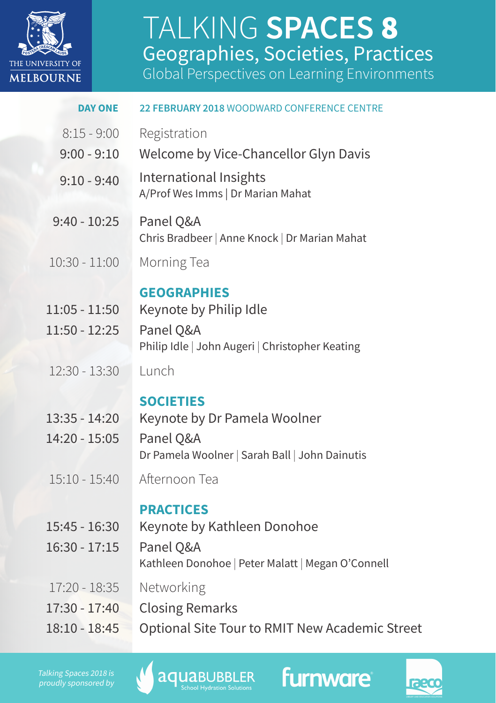

## **TALITTITY STITT** TALKING **SPACES** 8 Geographies, Societies, Practices

Global Perspectives on Learning Environments

| <b>DAY ONE</b>                     | 22 FEBRUARY 2018 WOODWARD CONFERENCE CENTRE                    |  |  |
|------------------------------------|----------------------------------------------------------------|--|--|
| $8:15 - 9:00$                      | Registration                                                   |  |  |
| $9:00 - 9:10$                      | Welcome by Vice-Chancellor Glyn Davis                          |  |  |
| $9:10 - 9:40$                      | International Insights<br>A/Prof Wes Imms   Dr Marian Mahat    |  |  |
| $9:40 - 10:25$                     | Panel Q&A<br>Chris Bradbeer   Anne Knock   Dr Marian Mahat     |  |  |
| $10:30 - 11:00$                    | Morning Tea                                                    |  |  |
| $11:05 - 11:50$<br>$11:50 - 12:25$ | <b>GEOGRAPHIES</b><br>Keynote by Philip Idle<br>Panel Q&A      |  |  |
|                                    | Philip Idle   John Augeri   Christopher Keating                |  |  |
| $12:30 - 13:30$                    | Lunch                                                          |  |  |
|                                    | <b>SOCIETIES</b>                                               |  |  |
| $13:35 - 14:20$                    | Keynote by Dr Pamela Woolner                                   |  |  |
| 14:20 - 15:05                      | Panel Q&A<br>Dr Pamela Woolner   Sarah Ball   John Dainutis    |  |  |
| $15:10 - 15:40$                    | Afternoon Tea                                                  |  |  |
|                                    | <b>PRACTICES</b>                                               |  |  |
| $15:45 - 16:30$                    | Keynote by Kathleen Donohoe                                    |  |  |
| $16:30 - 17:15$                    | Panel Q&A<br>Kathleen Donohoe   Peter Malatt   Megan O'Connell |  |  |
| $17:20 - 18:35$                    | Networking                                                     |  |  |
| 17:30 - 17:40                      | <b>Closing Remarks</b>                                         |  |  |
| 18:10 - 18:45                      | Optional Site Tour to RMIT New Academic Street                 |  |  |
|                                    |                                                                |  |  |

Talking Spaces 2018 is proudly sponsored by





**furnware**